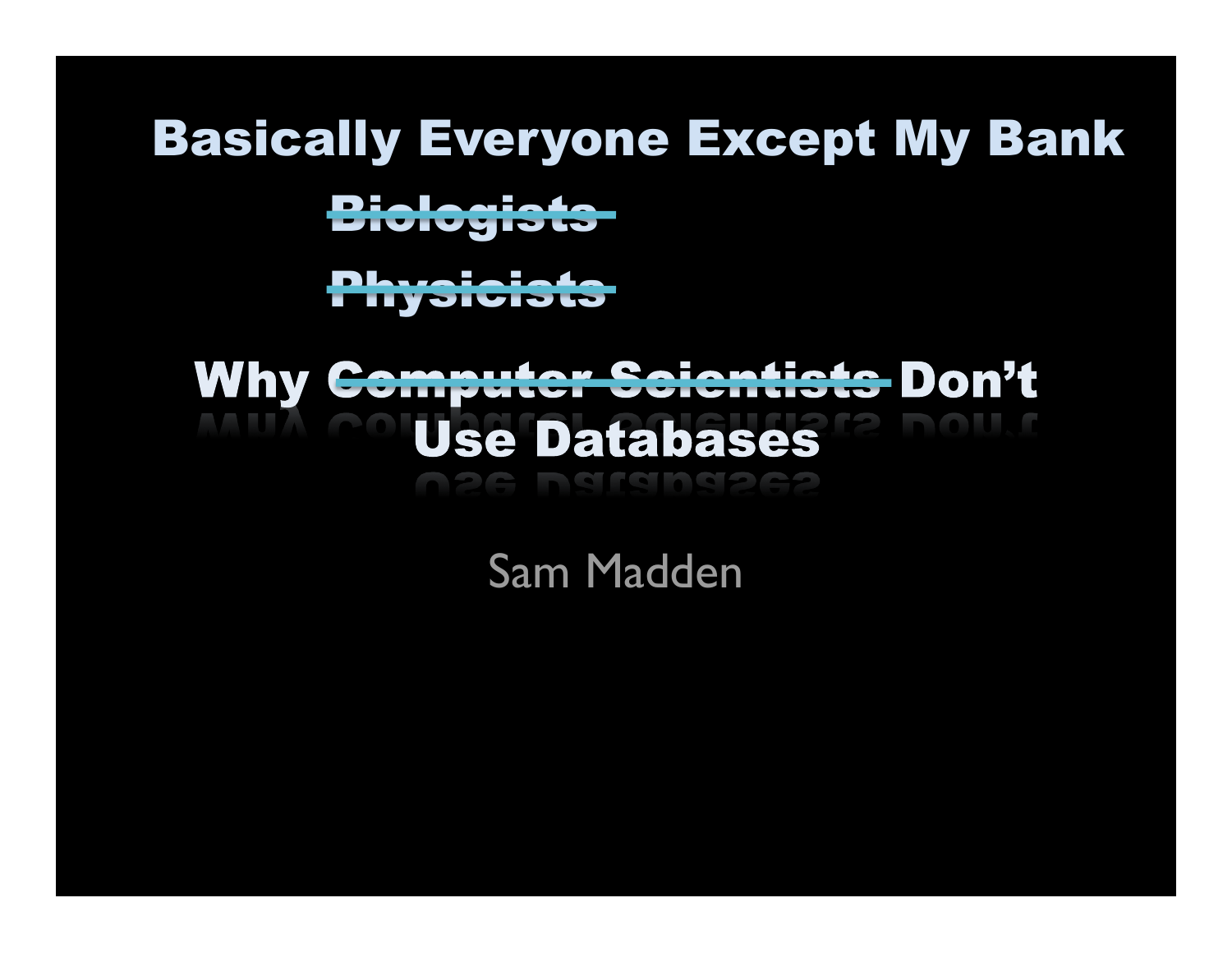### Basically Everyone Except My Bank

Biologists

Physicists

### **Why <del>Computer Scientists</del> Don't Use Databases**

Sam Madden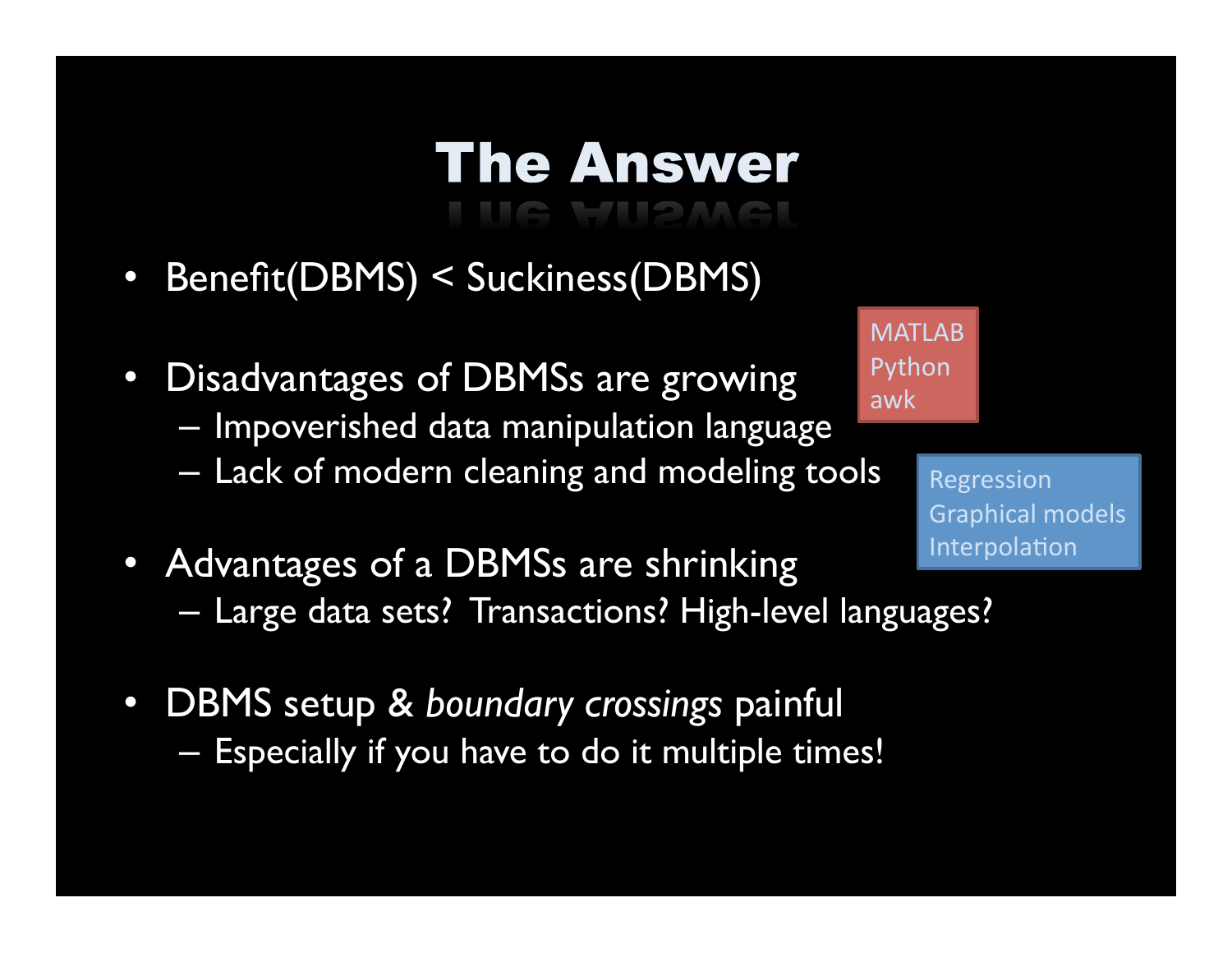# **The Answer**

- Benefit(DBMS) < Suckiness(DBMS)
- Disadvantages of DBMSs are growing
	- Impoverished data manipulation language
	- Lack of modern cleaning and modeling tools
- MATLAB Python awk

Regression Graphical models Interpolation

- Advantages of a DBMSs are shrinking
	- Large data sets? Transactions? High-level languages?
- DBMS setup & *boundary crossings* painful – Especially if you have to do it multiple times!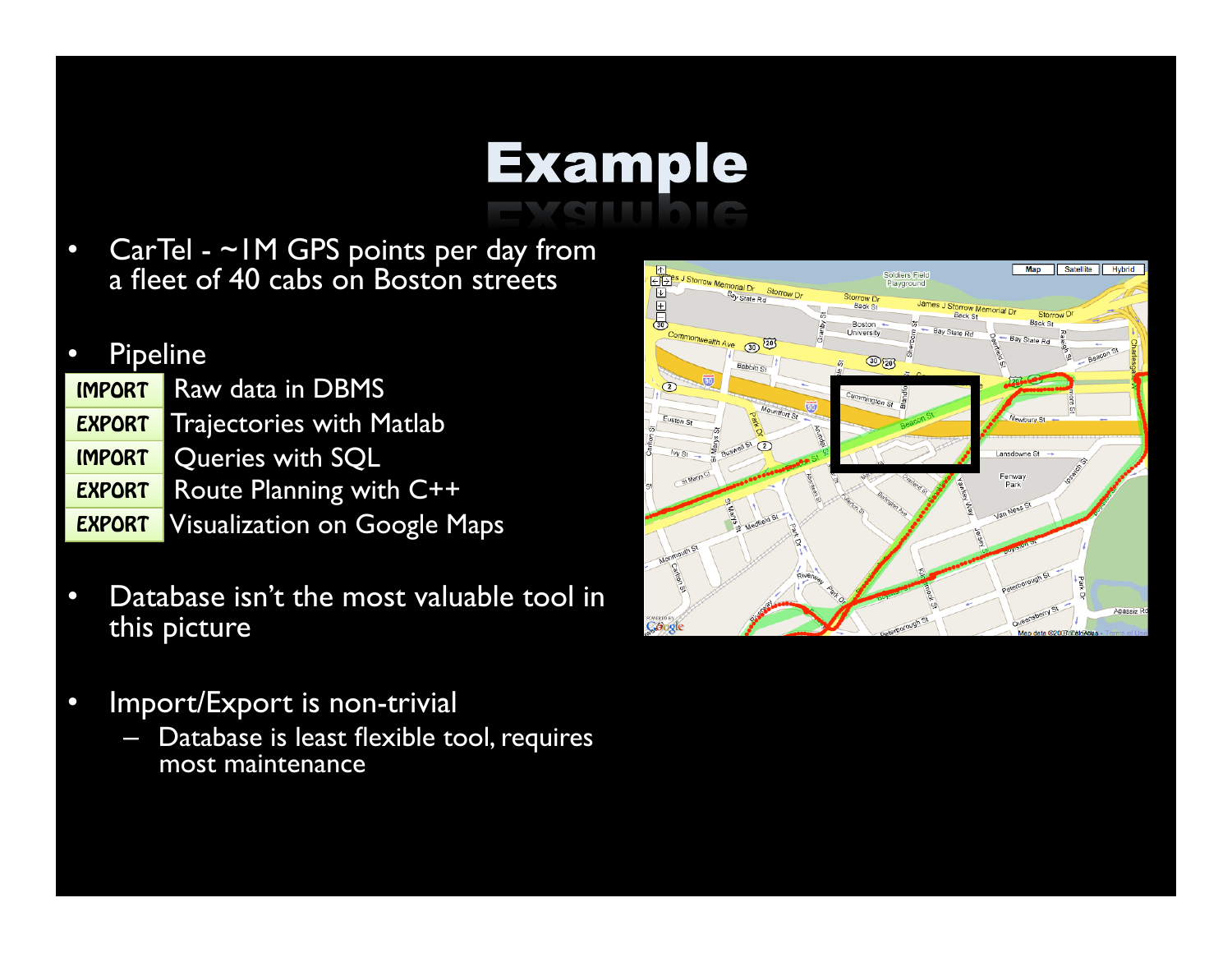### **Example**

• CarTel - ~IM GPS points per day from a fleet of 40 cabs on Boston streets

#### • Pipeline

Raw data in DBMS **Trajectories with Matlab** Queries with SQL – Route Planning with C++ – Visualization on Google Maps IMPORT **EXPORT** IMPORT EXPORT **EXPORT** 

- Database isn't the most valuable tool in this picture
- Import/Export is non-trivial
	- Database is least flexible tool, requires most maintenance

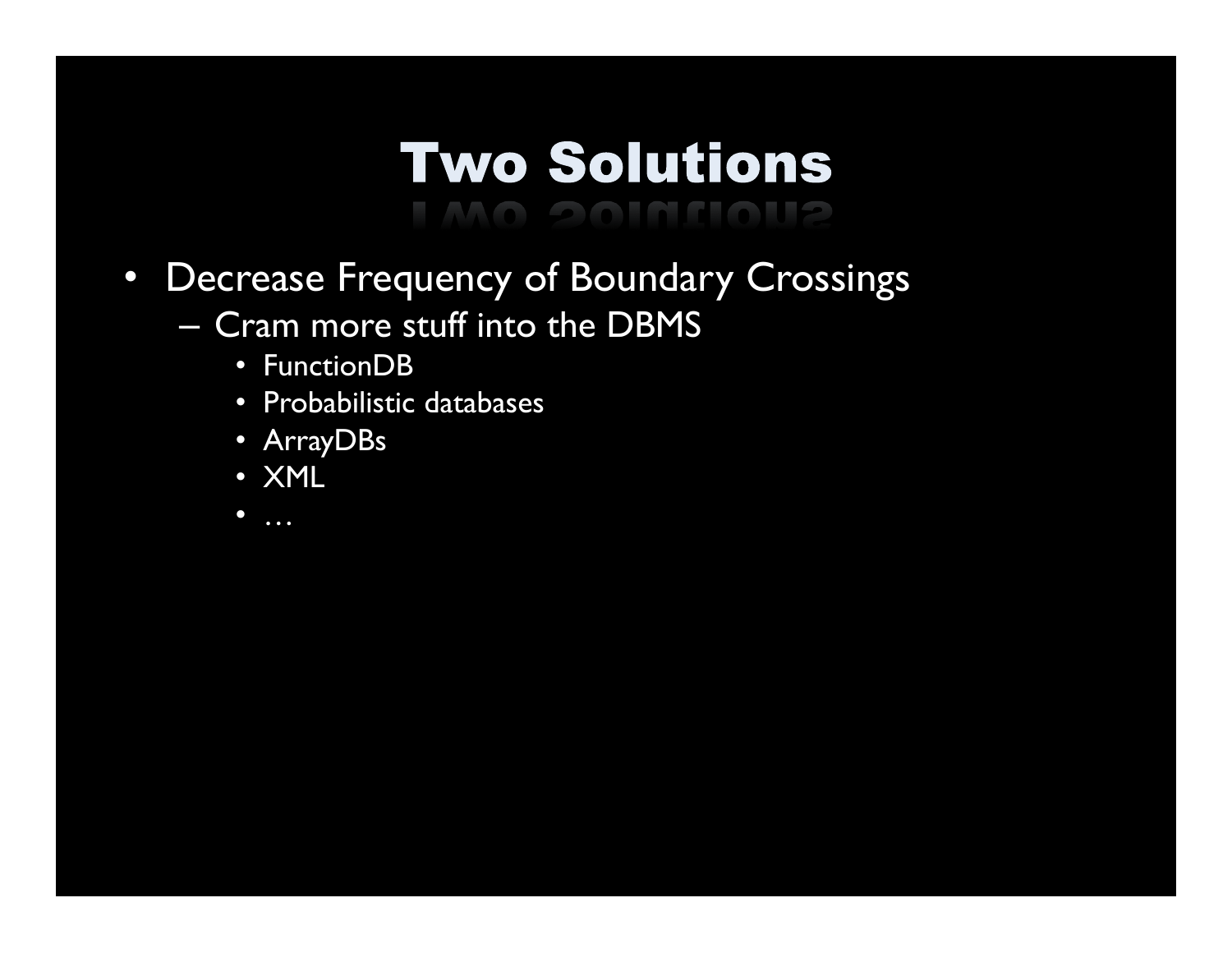# **Two Solutions**

- Decrease Frequency of Boundary Crossings
	- Cram more stuff into the DBMS
		- FunctionDB
		- Probabilistic databases
		- ArrayDBs
		- XML
		- $\bullet$  …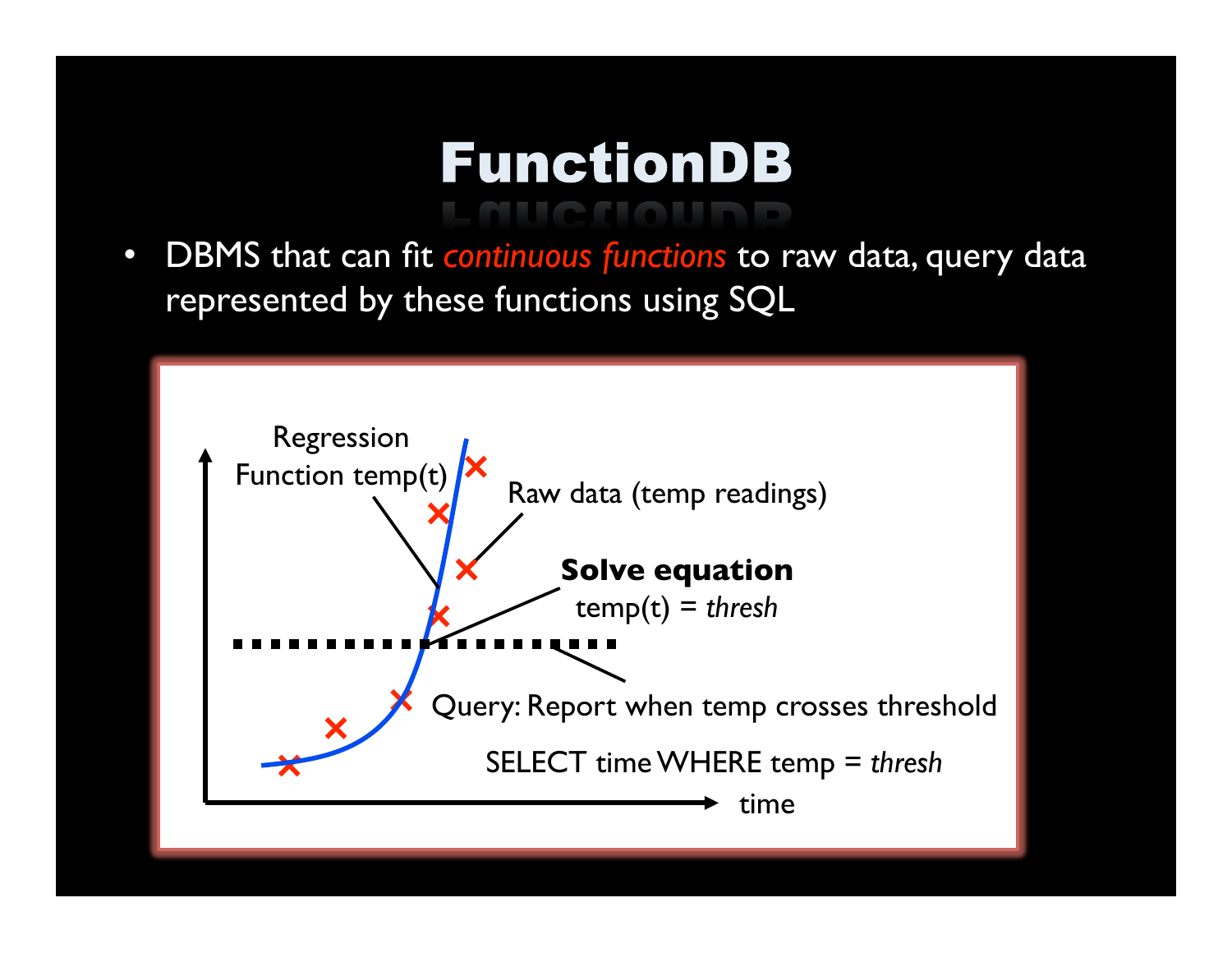### **FunctionDB**

• DBMS that can fit *continuous functions* to raw data, query data represented by these functions using SQL